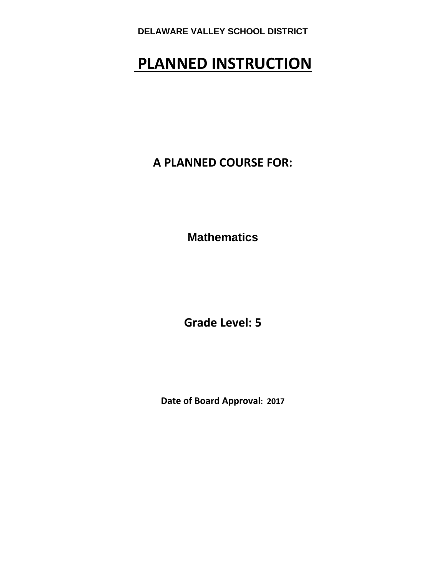# **PLANNED INSTRUCTION**

**A PLANNED COURSE FOR:**

**Mathematics** 

**Grade Level: 5**

**Date of Board Approval: 2017**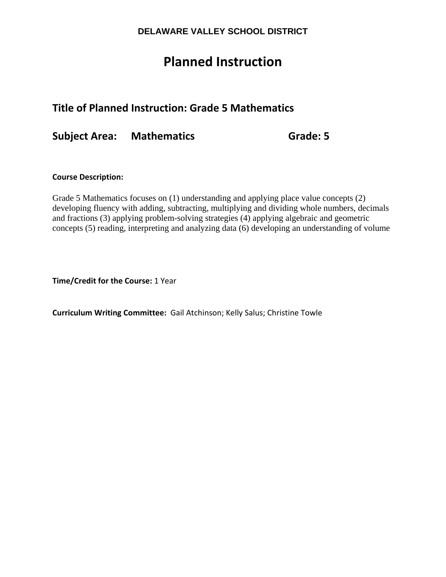## **Planned Instruction**

## **Title of Planned Instruction: Grade 5 Mathematics**

**Subject Area: Mathematics Grade: 5**

#### **Course Description:**

Grade 5 Mathematics focuses on (1) understanding and applying place value concepts (2) developing fluency with adding, subtracting, multiplying and dividing whole numbers, decimals and fractions (3) applying problem-solving strategies (4) applying algebraic and geometric concepts (5) reading, interpreting and analyzing data (6) developing an understanding of volume

**Time/Credit for the Course:** 1 Year

**Curriculum Writing Committee:** Gail Atchinson; Kelly Salus; Christine Towle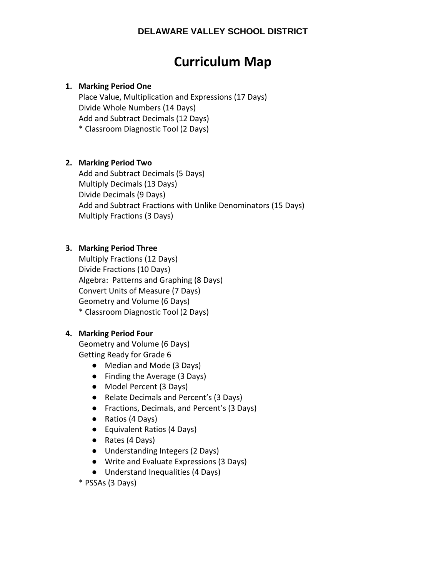## **Curriculum Map**

#### **1. Marking Period One**

Place Value, Multiplication and Expressions (17 Days) Divide Whole Numbers (14 Days) Add and Subtract Decimals (12 Days) \* Classroom Diagnostic Tool (2 Days)

#### **2. Marking Period Two**

Add and Subtract Decimals (5 Days) Multiply Decimals (13 Days) Divide Decimals (9 Days) Add and Subtract Fractions with Unlike Denominators (15 Days) Multiply Fractions (3 Days)

#### **3. Marking Period Three**

Multiply Fractions (12 Days) Divide Fractions (10 Days) Algebra: Patterns and Graphing (8 Days) Convert Units of Measure (7 Days) Geometry and Volume (6 Days) \* Classroom Diagnostic Tool (2 Days)

#### **4. Marking Period Four**

Geometry and Volume (6 Days) Getting Ready for Grade 6

- Median and Mode (3 Days)
- Finding the Average (3 Days)
- Model Percent (3 Days)
- Relate Decimals and Percent's (3 Days)
- Fractions, Decimals, and Percent's (3 Days)
- Ratios (4 Days)
- Equivalent Ratios (4 Days)
- Rates (4 Days)
- Understanding Integers (2 Days)
- Write and Evaluate Expressions (3 Days)
- Understand Inequalities (4 Days)

\* PSSAs (3 Days)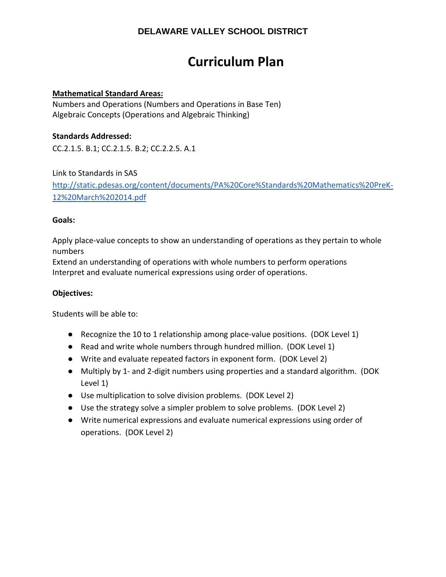## **Curriculum Plan**

#### **Mathematical Standard Areas:**

Numbers and Operations (Numbers and Operations in Base Ten) Algebraic Concepts (Operations and Algebraic Thinking)

#### **Standards Addressed:**

CC.2.1.5. B.1; CC.2.1.5. B.2; CC.2.2.5. A.1

Link to Standards in SAS

http://static.pdesas.org/content/documents/PA%20Core%Standards%20Mathematics%20PreK‐ 12%20March%202014.pdf

#### **Goals:**

Apply place-value concepts to show an understanding of operations as they pertain to whole numbers

Extend an understanding of operations with whole numbers to perform operations Interpret and evaluate numerical expressions using order of operations.

#### **Objectives:**

- Recognize the 10 to 1 relationship among place-value positions. (DOK Level 1)
- Read and write whole numbers through hundred million. (DOK Level 1)
- Write and evaluate repeated factors in exponent form. (DOK Level 2)
- Multiply by 1- and 2-digit numbers using properties and a standard algorithm. (DOK Level 1)
- Use multiplication to solve division problems. (DOK Level 2)
- Use the strategy solve a simpler problem to solve problems. (DOK Level 2)
- Write numerical expressions and evaluate numerical expressions using order of operations. (DOK Level 2)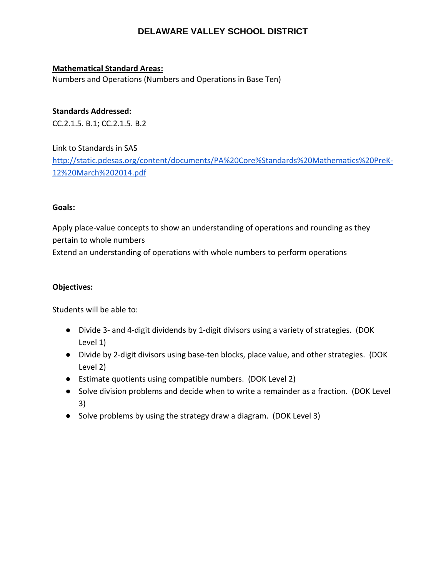#### **Mathematical Standard Areas:**

Numbers and Operations (Numbers and Operations in Base Ten)

#### **Standards Addressed:**

CC.2.1.5. B.1; CC.2.1.5. B.2

Link to Standards in SAS http://static.pdesas.org/content/documents/PA%20Core%Standards%20Mathematics%20PreK‐ 12%20March%202014.pdf

#### **Goals:**

Apply place-value concepts to show an understanding of operations and rounding as they pertain to whole numbers Extend an understanding of operations with whole numbers to perform operations

#### **Objectives:**

- Divide 3‐ and 4‐digit dividends by 1‐digit divisors using a variety of strategies. (DOK Level 1)
- Divide by 2-digit divisors using base-ten blocks, place value, and other strategies. (DOK Level 2)
- Estimate quotients using compatible numbers. (DOK Level 2)
- Solve division problems and decide when to write a remainder as a fraction. (DOK Level 3)
- Solve problems by using the strategy draw a diagram. (DOK Level 3)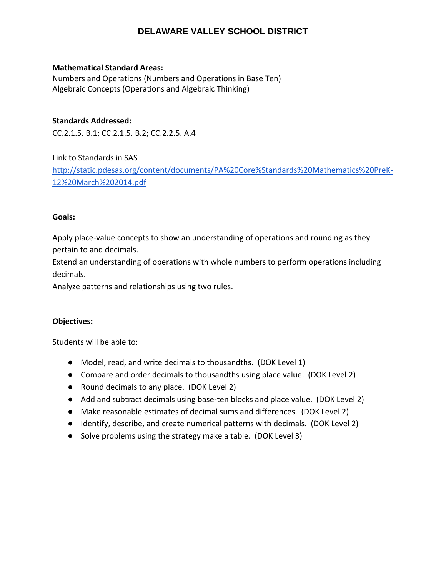#### **Mathematical Standard Areas:**

Numbers and Operations (Numbers and Operations in Base Ten) Algebraic Concepts (Operations and Algebraic Thinking)

#### **Standards Addressed:**

CC.2.1.5. B.1; CC.2.1.5. B.2; CC.2.2.5. A.4

Link to Standards in SAS http://static.pdesas.org/content/documents/PA%20Core%Standards%20Mathematics%20PreK‐ 12%20March%202014.pdf

#### **Goals:**

Apply place-value concepts to show an understanding of operations and rounding as they pertain to and decimals.

Extend an understanding of operations with whole numbers to perform operations including decimals.

Analyze patterns and relationships using two rules.

#### **Objectives:**

- Model, read, and write decimals to thousandths. (DOK Level 1)
- Compare and order decimals to thousandths using place value. (DOK Level 2)
- Round decimals to any place. (DOK Level 2)
- Add and subtract decimals using base-ten blocks and place value. (DOK Level 2)
- Make reasonable estimates of decimal sums and differences. (DOK Level 2)
- Identify, describe, and create numerical patterns with decimals. (DOK Level 2)
- Solve problems using the strategy make a table. (DOK Level 3)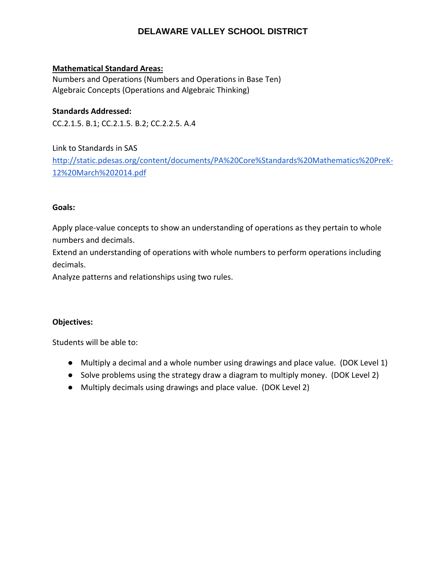#### **Mathematical Standard Areas:**

Numbers and Operations (Numbers and Operations in Base Ten) Algebraic Concepts (Operations and Algebraic Thinking)

**Standards Addressed:**  CC.2.1.5. B.1; CC.2.1.5. B.2; CC.2.2.5. A.4

Link to Standards in SAS http://static.pdesas.org/content/documents/PA%20Core%Standards%20Mathematics%20PreK‐ 12%20March%202014.pdf

#### **Goals:**

Apply place-value concepts to show an understanding of operations as they pertain to whole numbers and decimals.

Extend an understanding of operations with whole numbers to perform operations including decimals.

Analyze patterns and relationships using two rules.

#### **Objectives:**

- Multiply a decimal and a whole number using drawings and place value. (DOK Level 1)
- Solve problems using the strategy draw a diagram to multiply money. (DOK Level 2)
- Multiply decimals using drawings and place value. (DOK Level 2)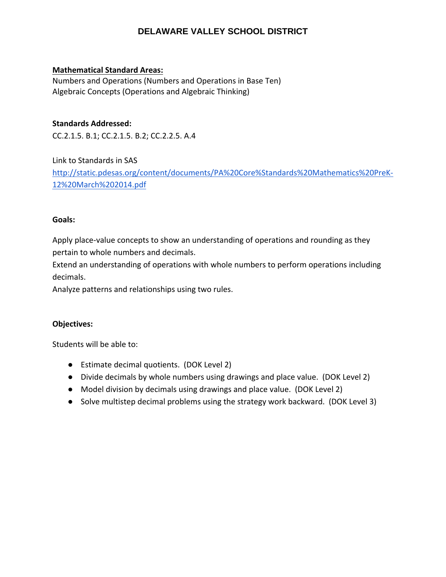#### **Mathematical Standard Areas:**

Numbers and Operations (Numbers and Operations in Base Ten) Algebraic Concepts (Operations and Algebraic Thinking)

#### **Standards Addressed:**

CC.2.1.5. B.1; CC.2.1.5. B.2; CC.2.2.5. A.4

Link to Standards in SAS http://static.pdesas.org/content/documents/PA%20Core%Standards%20Mathematics%20PreK‐ 12%20March%202014.pdf

#### **Goals:**

Apply place-value concepts to show an understanding of operations and rounding as they pertain to whole numbers and decimals.

Extend an understanding of operations with whole numbers to perform operations including decimals.

Analyze patterns and relationships using two rules.

#### **Objectives:**

- Estimate decimal quotients. (DOK Level 2)
- Divide decimals by whole numbers using drawings and place value. (DOK Level 2)
- Model division by decimals using drawings and place value. (DOK Level 2)
- Solve multistep decimal problems using the strategy work backward. (DOK Level 3)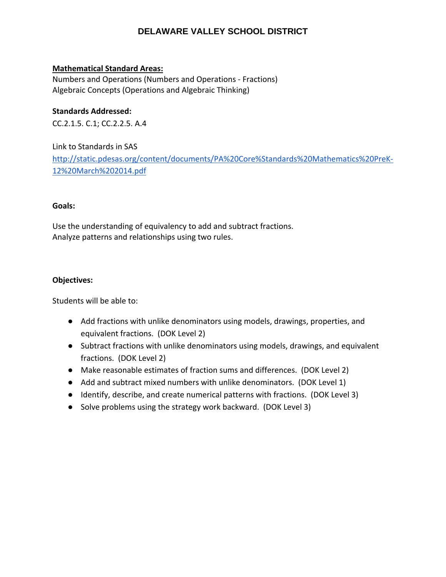#### **Mathematical Standard Areas:**

Numbers and Operations (Numbers and Operations ‐ Fractions) Algebraic Concepts (Operations and Algebraic Thinking)

#### **Standards Addressed:**

CC.2.1.5. C.1; CC.2.2.5. A.4

Link to Standards in SAS http://static.pdesas.org/content/documents/PA%20Core%Standards%20Mathematics%20PreK‐ 12%20March%202014.pdf

#### **Goals:**

Use the understanding of equivalency to add and subtract fractions. Analyze patterns and relationships using two rules.

#### **Objectives:**

- Add fractions with unlike denominators using models, drawings, properties, and equivalent fractions. (DOK Level 2)
- Subtract fractions with unlike denominators using models, drawings, and equivalent fractions. (DOK Level 2)
- Make reasonable estimates of fraction sums and differences. (DOK Level 2)
- Add and subtract mixed numbers with unlike denominators. (DOK Level 1)
- Identify, describe, and create numerical patterns with fractions. (DOK Level 3)
- Solve problems using the strategy work backward. (DOK Level 3)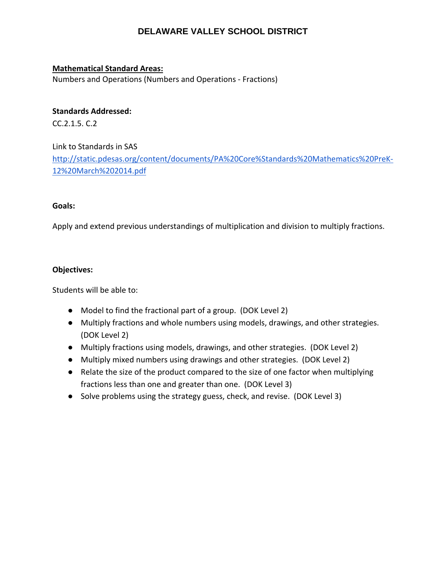#### **Mathematical Standard Areas:**

Numbers and Operations (Numbers and Operations ‐ Fractions)

#### **Standards Addressed:**

CC.2.1.5. C.2

Link to Standards in SAS http://static.pdesas.org/content/documents/PA%20Core%Standards%20Mathematics%20PreK‐ 12%20March%202014.pdf

#### **Goals:**

Apply and extend previous understandings of multiplication and division to multiply fractions.

#### **Objectives:**

- Model to find the fractional part of a group. (DOK Level 2)
- Multiply fractions and whole numbers using models, drawings, and other strategies. (DOK Level 2)
- Multiply fractions using models, drawings, and other strategies. (DOK Level 2)
- Multiply mixed numbers using drawings and other strategies. (DOK Level 2)
- Relate the size of the product compared to the size of one factor when multiplying fractions less than one and greater than one. (DOK Level 3)
- Solve problems using the strategy guess, check, and revise. (DOK Level 3)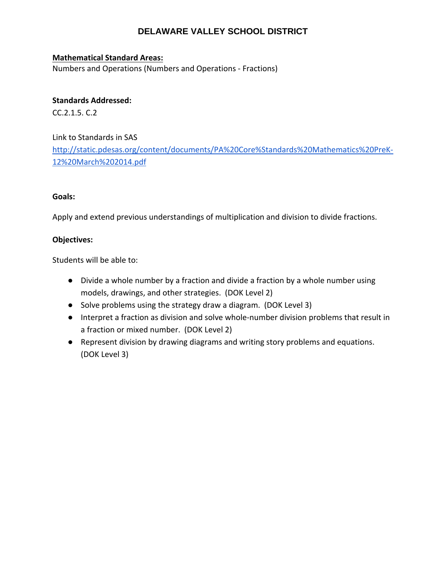#### **Mathematical Standard Areas:**

Numbers and Operations (Numbers and Operations ‐ Fractions)

#### **Standards Addressed:**

CC.2.1.5. C.2

#### Link to Standards in SAS

http://static.pdesas.org/content/documents/PA%20Core%Standards%20Mathematics%20PreK‐ 12%20March%202014.pdf

#### **Goals:**

Apply and extend previous understandings of multiplication and division to divide fractions.

#### **Objectives:**

- Divide a whole number by a fraction and divide a fraction by a whole number using models, drawings, and other strategies. (DOK Level 2)
- Solve problems using the strategy draw a diagram. (DOK Level 3)
- Interpret a fraction as division and solve whole-number division problems that result in a fraction or mixed number. (DOK Level 2)
- Represent division by drawing diagrams and writing story problems and equations. (DOK Level 3)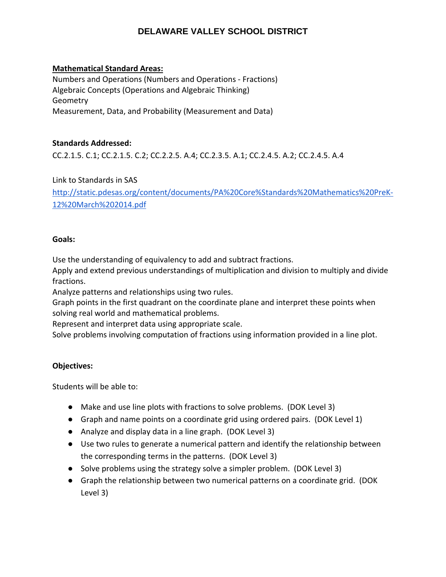#### **Mathematical Standard Areas:**

Numbers and Operations (Numbers and Operations ‐ Fractions) Algebraic Concepts (Operations and Algebraic Thinking) **Geometry** Measurement, Data, and Probability (Measurement and Data)

#### **Standards Addressed:**

CC.2.1.5. C.1; CC.2.1.5. C.2; CC.2.2.5. A.4; CC.2.3.5. A.1; CC.2.4.5. A.2; CC.2.4.5. A.4

Link to Standards in SAS

http://static.pdesas.org/content/documents/PA%20Core%Standards%20Mathematics%20PreK‐ 12%20March%202014.pdf

#### **Goals:**

Use the understanding of equivalency to add and subtract fractions.

Apply and extend previous understandings of multiplication and division to multiply and divide fractions.

Analyze patterns and relationships using two rules.

Graph points in the first quadrant on the coordinate plane and interpret these points when solving real world and mathematical problems.

Represent and interpret data using appropriate scale.

Solve problems involving computation of fractions using information provided in a line plot.

#### **Objectives:**

- Make and use line plots with fractions to solve problems. (DOK Level 3)
- Graph and name points on a coordinate grid using ordered pairs. (DOK Level 1)
- Analyze and display data in a line graph. (DOK Level 3)
- Use two rules to generate a numerical pattern and identify the relationship between the corresponding terms in the patterns. (DOK Level 3)
- Solve problems using the strategy solve a simpler problem. (DOK Level 3)
- Graph the relationship between two numerical patterns on a coordinate grid. (DOK Level 3)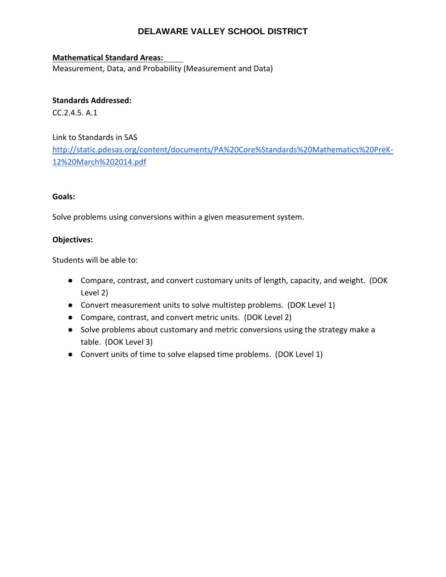#### **Mathematical Standard Areas:**

Measurement, Data, and Probability (Measurement and Data)

#### **Standards Addressed:**

CC.2.4.5. A.1

Link to Standards in SAS http://static.pdesas.org/content/documents/PA%20Core%Standards%20Mathematics%20PreK‐ 12%20March%202014.pdf

#### **Goals:**

Solve problems using conversions within a given measurement system.

#### **Objectives:**

- Compare, contrast, and convert customary units of length, capacity, and weight. (DOK Level 2)
- Convert measurement units to solve multistep problems. (DOK Level 1)
- Compare, contrast, and convert metric units. (DOK Level 2)
- Solve problems about customary and metric conversions using the strategy make a table. (DOK Level 3)
- Convert units of time to solve elapsed time problems. (DOK Level 1)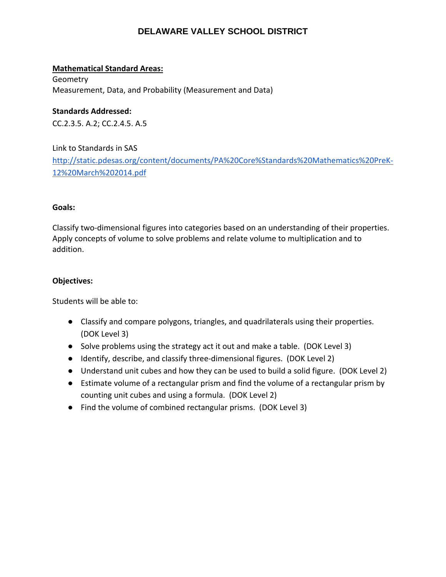#### **Mathematical Standard Areas:**

Geometry Measurement, Data, and Probability (Measurement and Data)

#### **Standards Addressed:**

CC.2.3.5. A.2; CC.2.4.5. A.5

Link to Standards in SAS http://static.pdesas.org/content/documents/PA%20Core%Standards%20Mathematics%20PreK‐ 12%20March%202014.pdf

#### **Goals:**

Classify two‐dimensional figures into categories based on an understanding of their properties. Apply concepts of volume to solve problems and relate volume to multiplication and to addition.

#### **Objectives:**

- Classify and compare polygons, triangles, and quadrilaterals using their properties. (DOK Level 3)
- Solve problems using the strategy act it out and make a table. (DOK Level 3)
- Identify, describe, and classify three-dimensional figures. (DOK Level 2)
- Understand unit cubes and how they can be used to build a solid figure. (DOK Level 2)
- Estimate volume of a rectangular prism and find the volume of a rectangular prism by counting unit cubes and using a formula. (DOK Level 2)
- Find the volume of combined rectangular prisms. (DOK Level 3)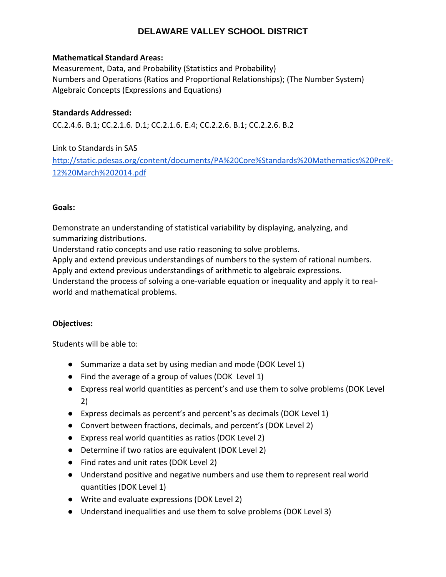#### **Mathematical Standard Areas:**

Measurement, Data, and Probability (Statistics and Probability) Numbers and Operations (Ratios and Proportional Relationships); (The Number System) Algebraic Concepts (Expressions and Equations)

#### **Standards Addressed:**

CC.2.4.6. B.1; CC.2.1.6. D.1; CC.2.1.6. E.4; CC.2.2.6. B.1; CC.2.2.6. B.2

#### Link to Standards in SAS

http://static.pdesas.org/content/documents/PA%20Core%Standards%20Mathematics%20PreK‐ 12%20March%202014.pdf

#### **Goals:**

Demonstrate an understanding of statistical variability by displaying, analyzing, and summarizing distributions.

Understand ratio concepts and use ratio reasoning to solve problems.

Apply and extend previous understandings of numbers to the system of rational numbers.

Apply and extend previous understandings of arithmetic to algebraic expressions.

Understand the process of solving a one‐variable equation or inequality and apply it to real‐ world and mathematical problems.

#### **Objectives:**

- Summarize a data set by using median and mode (DOK Level 1)
- Find the average of a group of values (DOK Level 1)
- Express real world quantities as percent's and use them to solve problems (DOK Level 2)
- Express decimals as percent's and percent's as decimals (DOK Level 1)
- Convert between fractions, decimals, and percent's (DOK Level 2)
- Express real world quantities as ratios (DOK Level 2)
- Determine if two ratios are equivalent (DOK Level 2)
- Find rates and unit rates (DOK Level 2)
- Understand positive and negative numbers and use them to represent real world quantities (DOK Level 1)
- Write and evaluate expressions (DOK Level 2)
- Understand inequalities and use them to solve problems (DOK Level 3)